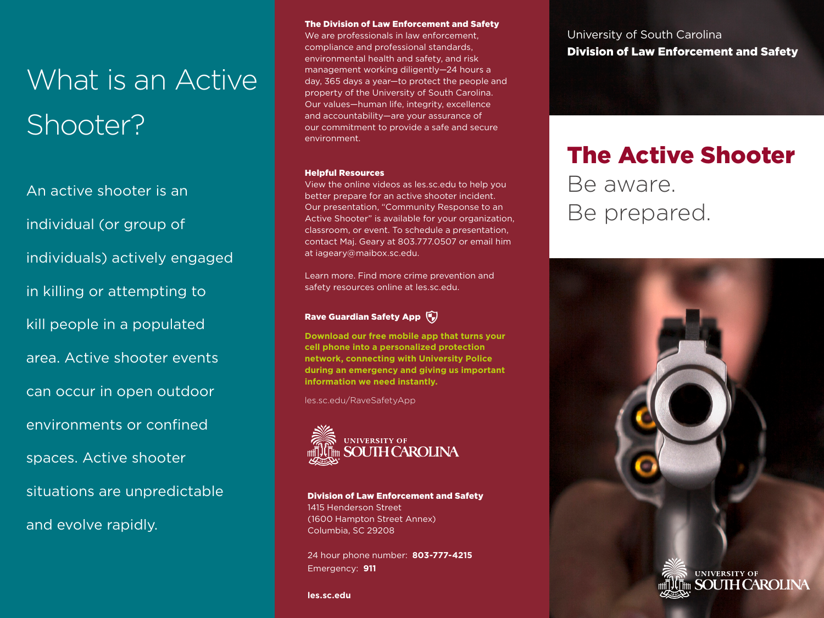# What is an Active Shooter?

An active shooter is an individual (or group of individuals) actively engaged in killing or attempting to kill people in a populated area. Active shooter events can occur in open outdoor environments or confined spaces. Active shooter situations are unpredictable and evolve rapidly.

### The Division of Law Enforcement and Safety

We are professionals in law enforcement. compliance and professional standards, environmental health and safety, and risk management working diligently—24 hours a day, 365 days a year—to protect the people and property of the University of South Carolina. Our values—human life, integrity, excellence and accountability—are your assurance of our commitment to provide a safe and secure environment.

#### Helpful Resources

View the online videos as les.sc.edu to help you better prepare for an active shooter incident. Our presentation, "Community Response to an Active Shooter" is available for your organization, classroom, or event. To schedule a presentation, contact Maj. Geary at 803.777.0507 or email him at iageary@maibox.sc.edu.

Learn more. Find more crime prevention and safety resources online at les.sc.edu.

### Rave Guardian Safety App

**Download our free mobile app that turns your cell phone into a personalized protection network, connecting with University Police during an emergency and giving us important information we need instantly.**

les.sc.edu/RaveSafetyApp



Division of Law Enforcement and Safety 1415 Henderson Street (1600 Hampton Street Annex) Columbia, SC 29208

24 hour phone number: **803-777-4215** Emergency: **911**

**les.sc.edu**

## University of South Carolina Division of Law Enforcement and Safety

## The Active Shooter

Be aware. Be prepared.